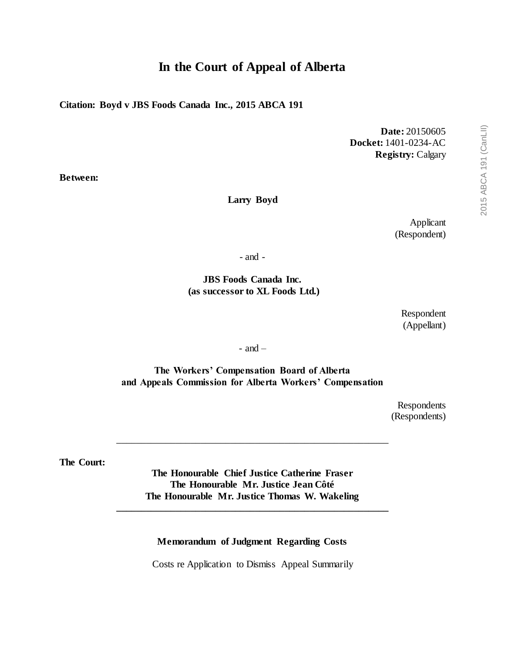# **In the Court of Appeal of Alberta**

**Citation: Boyd v JBS Foods Canada Inc., 2015 ABCA 191**

**Date:** 20150605 **Docket:** 1401-0234-AC **Registry:** Calgary

**Between:**

#### **Larry Boyd**

Applicant (Respondent)

- and -

**JBS Foods Canada Inc. (as successor to XL Foods Ltd.)**

> Respondent (Appellant)

- and –

**The Workers' Compensation Board of Alberta and Appeals Commission for Alberta Workers' Compensation**

> Respondents (Respondents)

**The Court:**

**The Honourable Chief Justice Catherine Fraser The Honourable Mr. Justice Jean Côté The Honourable Mr. Justice Thomas W. Wakeling \_\_\_\_\_\_\_\_\_\_\_\_\_\_\_\_\_\_\_\_\_\_\_\_\_\_\_\_\_\_\_\_\_\_\_\_\_\_\_\_\_\_\_\_\_\_\_\_\_\_\_\_\_\_\_**

\_\_\_\_\_\_\_\_\_\_\_\_\_\_\_\_\_\_\_\_\_\_\_\_\_\_\_\_\_\_\_\_\_\_\_\_\_\_\_\_\_\_\_\_\_\_\_\_\_\_\_\_\_\_\_

#### **Memorandum of Judgment Regarding Costs**

Costs re Application to Dismiss Appeal Summarily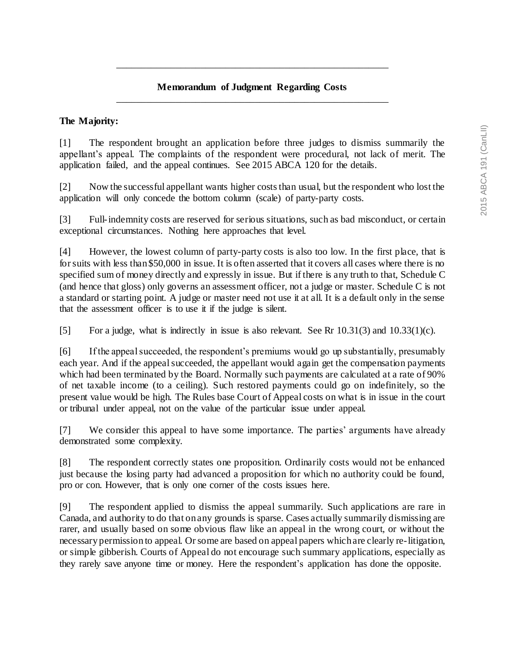### **Memorandum of Judgment Regarding Costs** \_\_\_\_\_\_\_\_\_\_\_\_\_\_\_\_\_\_\_\_\_\_\_\_\_\_\_\_\_\_\_\_\_\_\_\_\_\_\_\_\_\_\_\_\_\_\_\_\_\_\_\_\_\_\_

\_\_\_\_\_\_\_\_\_\_\_\_\_\_\_\_\_\_\_\_\_\_\_\_\_\_\_\_\_\_\_\_\_\_\_\_\_\_\_\_\_\_\_\_\_\_\_\_\_\_\_\_\_\_\_

#### **The Majority:**

[1] The respondent brought an application before three judges to dismiss summarily the appellant's appeal. The complaints of the respondent were procedural, not lack of merit. The application failed, and the appeal continues. See 2015 ABCA 120 for the details.

[2] Now the successful appellant wants higher costs than usual, but the respondent who lost the application will only concede the bottom column (scale) of party-party costs.

[3] Full-indemnity costs are reserved for serious situations, such as bad misconduct, or certain exceptional circumstances. Nothing here approaches that level.

[4] However, the lowest column of party-party costs is also too low. In the first place, that is for suits with less than \$50,000 in issue. It is often asserted that it covers all cases where there is no specified sum of money directly and expressly in issue. But if there is any truth to that, Schedule C (and hence that gloss) only governs an assessment officer, not a judge or master. Schedule C is not a standard or starting point. A judge or master need not use it at all. It is a default only in the sense that the assessment officer is to use it if the judge is silent.

[5] For a judge, what is indirectly in issue is also relevant. See Rr 10.31(3) and 10.33(1)(c).

[6] If the appeal succeeded, the respondent's premiums would go up substantially, presumably each year. And if the appeal succeeded, the appellant would again get the compensation payments which had been terminated by the Board. Normally such payments are calculated at a rate of 90% of net taxable income (to a ceiling). Such restored payments could go on indefinitely, so the present value would be high. The Rules base Court of Appeal costs on what is in issue in the court or tribunal under appeal, not on the value of the particular issue under appeal.

[7] We consider this appeal to have some importance. The parties' arguments have already demonstrated some complexity.

[8] The respondent correctly states one proposition. Ordinarily costs would not be enhanced just because the losing party had advanced a proposition for which no authority could be found, pro or con. However, that is only one corner of the costs issues here.

[9] The respondent applied to dismiss the appeal summarily. Such applications are rare in Canada, and authority to do that on any grounds is sparse. Cases actually summarily dismissing are rarer, and usually based on some obvious flaw like an appeal in the wrong court, or without the necessary permission to appeal. Or some are based on appeal papers which are clearly re-litigation, or simple gibberish. Courts of Appeal do not encourage such summary applications, especially as they rarely save anyone time or money. Here the respondent's application has done the opposite.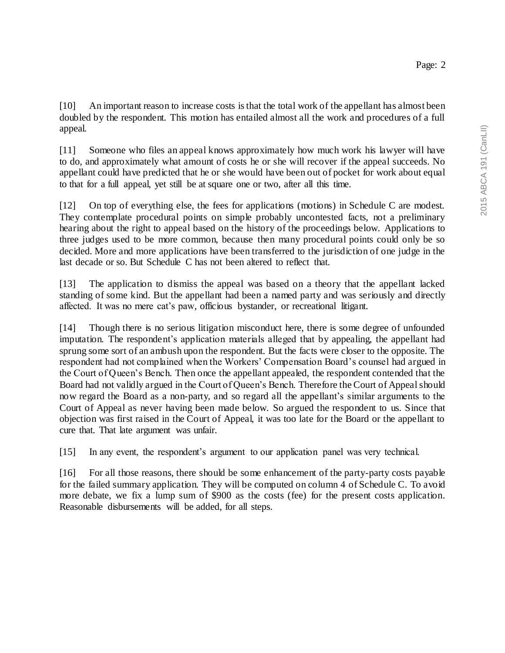[10] An important reason to increase costs is that the total work of the appellant has almost been doubled by the respondent. This motion has entailed almost all the work and procedures of a full appeal.

[11] Someone who files an appeal knows approximately how much work his lawyer will have to do, and approximately what amount of costs he or she will recover if the appeal succeeds. No appellant could have predicted that he or she would have been out of pocket for work about equal to that for a full appeal, yet still be at square one or two, after all this time.

[12] On top of everything else, the fees for applications (motions) in Schedule C are modest. They contemplate procedural points on simple probably uncontested facts, not a preliminary hearing about the right to appeal based on the history of the proceedings below. Applications to three judges used to be more common, because then many procedural points could only be so decided. More and more applications have been transferred to the jurisdiction of one judge in the last decade or so. But Schedule C has not been altered to reflect that.

[13] The application to dismiss the appeal was based on a theory that the appellant lacked standing of some kind. But the appellant had been a named party and was seriously and directly affected. It was no mere cat's paw, officious bystander, or recreational litigant.

[14] Though there is no serious litigation misconduct here, there is some degree of unfounded imputation. The respondent's application materials alleged that by appealing, the appellant had sprung some sort of an ambush upon the respondent. But the facts were closer to the opposite. The respondent had not complained when the Workers' Compensation Board's counsel had argued in the Court of Queen's Bench. Then once the appellant appealed, the respondent contended that the Board had not validly argued in the Court of Queen's Bench. Therefore the Court of Appealshould now regard the Board as a non-party, and so regard all the appellant's similar arguments to the Court of Appeal as never having been made below. So argued the respondent to us. Since that objection was first raised in the Court of Appeal, it was too late for the Board or the appellant to cure that. That late argument was unfair.

[15] In any event, the respondent's argument to our application panel was very technical.

[16] For all those reasons, there should be some enhancement of the party-party costs payable for the failed summary application. They will be computed on column 4 of Schedule C. To avoid more debate, we fix a lump sum of \$900 as the costs (fee) for the present costs application. Reasonable disbursements will be added, for all steps.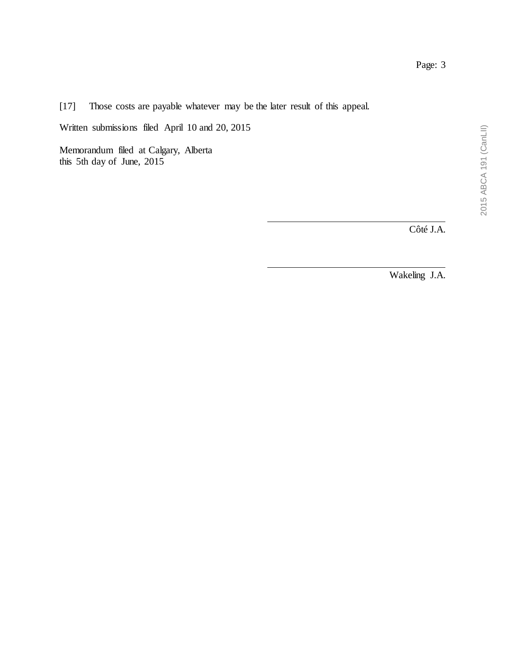Côté J.A.

Wakeling J.A.

[17] Those costs are payable whatever may be the later result of this appeal.

Written submissions filed April 10 and 20, 2015

Memorandum filed at Calgary, Alberta this 5th day of June, 2015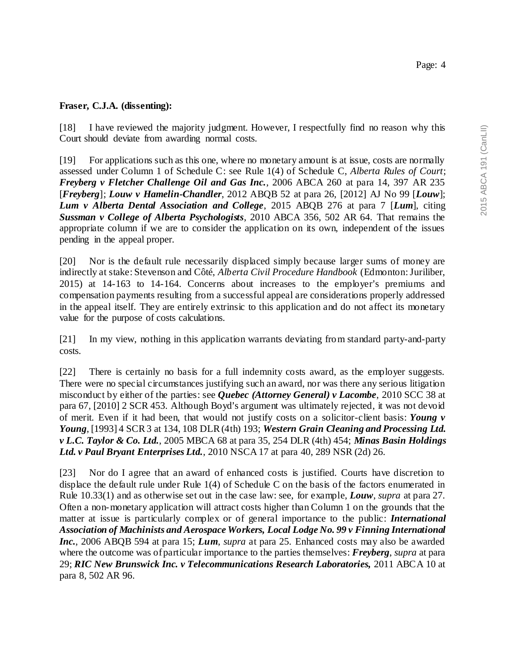#### **Fraser, C.J.A. (dissenting):**

[18] I have reviewed the majority judgment. However, I respectfully find no reason why this Court should deviate from awarding normal costs.

[19] For applications such as this one, where no monetary amount is at issue, costs are normally assessed under Column 1 of Schedule C: see Rule 1(4) of Schedule C, *Alberta Rules of Court*; *Freyberg v Fletcher Challenge Oil and Gas Inc.*, 2006 ABCA 260 at para 14, 397 AR 235 [*Freyberg*]; *Louw v Hamelin-Chandler*, 2012 ABQB 52 at para 26, [2012] AJ No 99 [*Louw*]; *Lum v Alberta Dental Association and College*, 2015 ABQB 276 at para 7 [*Lum*], citing *Sussman v College of Alberta Psychologists*, 2010 ABCA 356, 502 AR 64. That remains the appropriate column if we are to consider the application on its own, independent of the issues pending in the appeal proper.

[20] Nor is the default rule necessarily displaced simply because larger sums of money are indirectly at stake: Stevenson and Côté, *Alberta Civil Procedure Handbook* (Edmonton: Juriliber,  $2015$ ) at  $14-163$  to  $14-164$ . Concerns about increases to the employer's premiums and compensation payments resulting from a successful appeal are considerations properly addressed in the appeal itself. They are entirely extrinsic to this application and do not affect its monetary value for the purpose of costs calculations.

[21] In my view, nothing in this application warrants deviating from standard party-and-party costs.

[22] There is certainly no basis for a full indemnity costs award, as the employer suggests. There were no special circumstances justifying such an award, nor was there any serious litigation misconduct by either of the parties: see *Quebec (Attorney General) v Lacombe*, 2010 SCC 38 at para 67, [2010] 2 SCR 453. Although Boyd's argument was ultimately rejected, it was not devoid of merit. Even if it had been, that would not justify costs on a solicitor-client basis: *Young v Young*, [1993] 4 SCR 3 at 134, 108 DLR (4th) 193; *Western Grain Cleaning and Processing Ltd. v L.C. Taylor & Co. Ltd.*, 2005 MBCA 68 at para 35, 254 DLR (4th) 454; *Minas Basin Holdings Ltd. v Paul Bryant Enterprises Ltd.*, 2010 NSCA 17 at para 40, 289 NSR (2d) 26.

[23] Nor do I agree that an award of enhanced costs is justified. Courts have discretion to displace the default rule under Rule 1(4) of Schedule C on the basis of the factors enumerated in Rule 10.33(1) and as otherwise set out in the case law: see, for example, *Louw*, *supra* at para 27. Often a non-monetary application will attract costs higher than Column 1 on the grounds that the matter at issue is particularly complex or of general importance to the public: *International Association of Machinists and Aerospace Workers, Local Lodge No. 99 v Finning International Inc.*, 2006 ABQB 594 at para 15; *Lum*, *supra* at para 25. Enhanced costs may also be awarded where the outcome was of particular importance to the parties themselves: *Freyberg*, *supra* at para 29; *RIC New Brunswick Inc. v Telecommunications Research Laboratories,* 2011 ABCA 10 at para 8, 502 AR 96.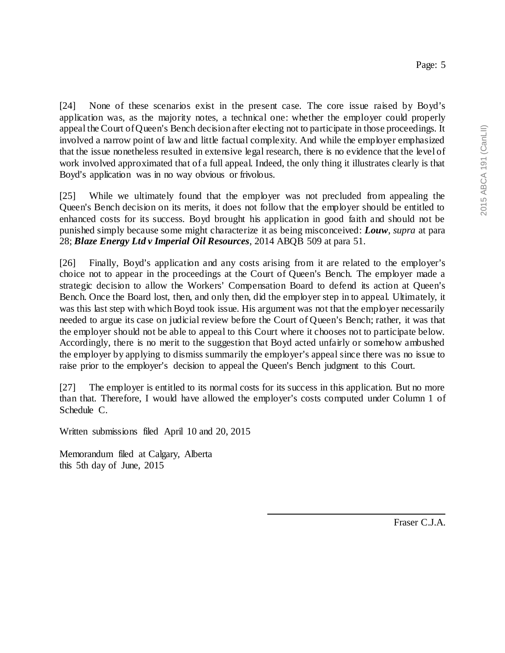[24] None of these scenarios exist in the present case. The core issue raised by Boyd's application was, as the majority notes, a technical one: whether the employer could properly appeal the Court of Queen's Bench decision after electing not to participate in those proceedings. It involved a narrow point of law and little factual complexity. And while the employer emphasized that the issue nonetheless resulted in extensive legal research, there is no evidence that the level of work involved approximated that of a full appeal. Indeed, the only thing it illustrates clearly is that Boyd's application was in no way obvious or frivolous.

[25] While we ultimately found that the employer was not precluded from appealing the Queen's Bench decision on its merits, it does not follow that the employer should be entitled to enhanced costs for its success. Boyd brought his application in good faith and should not be punished simply because some might characterize it as being misconceived: *Louw*, *supra* at para 28; *Blaze Energy Ltd v Imperial Oil Resources*, 2014 ABQB 509 at para 51.

[26] Finally, Boyd's application and any costs arising from it are related to the employer's choice not to appear in the proceedings at the Court of Queen's Bench. The employer made a strategic decision to allow the Workers' Compensation Board to defend its action at Queen's Bench. Once the Board lost, then, and only then, did the employer step in to appeal. Ultimately, it was this last step with which Boyd took issue. His argument was not that the employer necessarily needed to argue its case on judicial review before the Court of Queen's Bench; rather, it was that the employer should not be able to appeal to this Court where it chooses not to participate below. Accordingly, there is no merit to the suggestion that Boyd acted unfairly or somehow ambushed the employer by applying to dismiss summarily the employer's appeal since there was no issue to raise prior to the employer's decision to appeal the Queen's Bench judgment to this Court.

[27] The employer is entitled to its normal costs for its success in this application. But no more than that. Therefore, I would have allowed the employer's costs computed under Column 1 of Schedule C.

Written submissions filed April 10 and 20, 2015

Memorandum filed at Calgary, Alberta this 5th day of June, 2015

Fraser C.J.A.